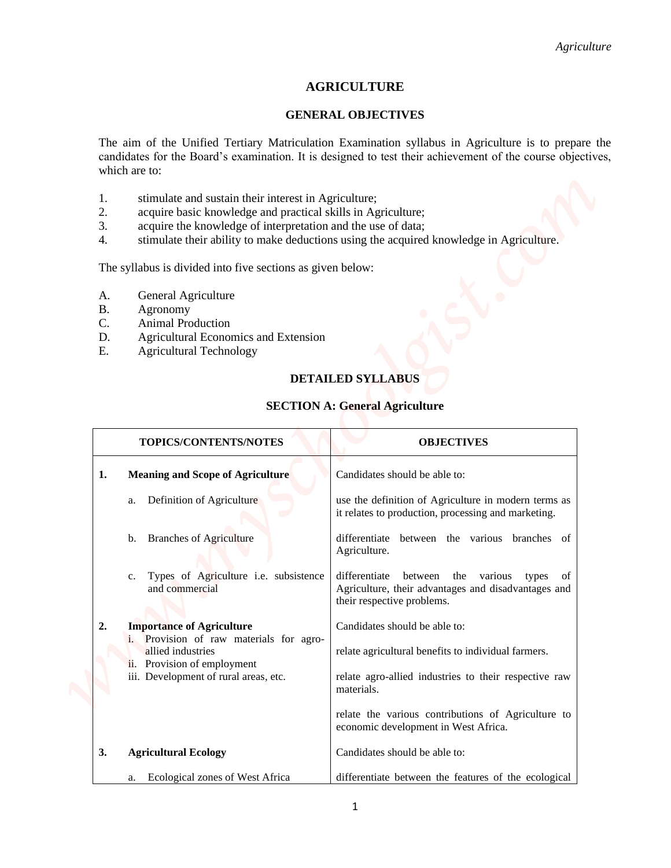# **AGRICULTURE**

#### **GENERAL OBJECTIVES**

- 1. stimulate and sustain their interest in Agriculture;
- 2. acquire basic knowledge and practical skills in Agriculture;
- 3. acquire the knowledge of interpretation and the use of data;
- 4. stimulate their ability to make deductions using the acquired knowledge in Agriculture.

- A. General Agriculture
- B. Agronomy
- C. Animal Production
- D. Agricultural Economics and Extension
- E. Agricultural Technology

## **DETAILED SYLLABUS**

### **SECTION A: General Agriculture**

|                                                                                                                                                                                                              | Agriculture                                                                                                                                                                                                       |
|--------------------------------------------------------------------------------------------------------------------------------------------------------------------------------------------------------------|-------------------------------------------------------------------------------------------------------------------------------------------------------------------------------------------------------------------|
|                                                                                                                                                                                                              | <b>AGRICULTURE</b>                                                                                                                                                                                                |
|                                                                                                                                                                                                              | <b>GENERAL OBJECTIVES</b>                                                                                                                                                                                         |
| which are to:                                                                                                                                                                                                | The aim of the Unified Tertiary Matriculation Examination syllabus in Agriculture is to prepare the<br>candidates for the Board's examination. It is designed to test their achievement of the course objectives, |
| 1.<br>stimulate and sustain their interest in Agriculture;<br>acquire basic knowledge and practical skills in Agriculture;<br>2.<br>3.<br>acquire the knowledge of interpretation and the use of data;<br>4. | stimulate their ability to make deductions using the acquired knowledge in Agriculture.                                                                                                                           |
| The syllabus is divided into five sections as given below:                                                                                                                                                   |                                                                                                                                                                                                                   |
| General Agriculture<br>A.<br><b>B.</b><br>Agronomy<br>C.<br>Animal Production<br>D.<br>Agricultural Economics and Extension<br>E.<br><b>Agricultural Technology</b>                                          |                                                                                                                                                                                                                   |
|                                                                                                                                                                                                              | <b>DETAILED SYLLABUS</b>                                                                                                                                                                                          |
|                                                                                                                                                                                                              | <b>SECTION A: General Agriculture</b>                                                                                                                                                                             |
| TOPICS/CONTENTS/NOTES                                                                                                                                                                                        | <b>OBJECTIVES</b>                                                                                                                                                                                                 |
| <b>Meaning and Scope of Agriculture</b><br>1.                                                                                                                                                                | Candidates should be able to:                                                                                                                                                                                     |
| Definition of Agriculture<br>a.                                                                                                                                                                              | use the definition of Agriculture in modern terms as<br>it relates to production, processing and marketing.                                                                                                       |
| <b>Branches of Agriculture</b><br>b.                                                                                                                                                                         | differentiate<br>between the various branches of<br>Agriculture.                                                                                                                                                  |
| Types of Agriculture i.e. subsistence<br>c.<br>and commercial                                                                                                                                                | differentiate<br>between the various types of<br>Agriculture, their advantages and disadvantages and<br>their respective problems.                                                                                |
| 2.<br><b>Importance of Agriculture</b><br>i. Provision of raw materials for agro-                                                                                                                            | Candidates should be able to:                                                                                                                                                                                     |
| allied industries<br>ii. Provision of employment                                                                                                                                                             | relate agricultural benefits to individual farmers.                                                                                                                                                               |
| iii. Development of rural areas, etc.                                                                                                                                                                        | relate agro-allied industries to their respective raw<br>materials.                                                                                                                                               |
|                                                                                                                                                                                                              | relate the various contributions of Agriculture to<br>economic development in West Africa.                                                                                                                        |
| 3.<br><b>Agricultural Ecology</b>                                                                                                                                                                            | Candidates should be able to:                                                                                                                                                                                     |
| Ecological zones of West Africa<br>a.                                                                                                                                                                        | differentiate between the features of the ecological                                                                                                                                                              |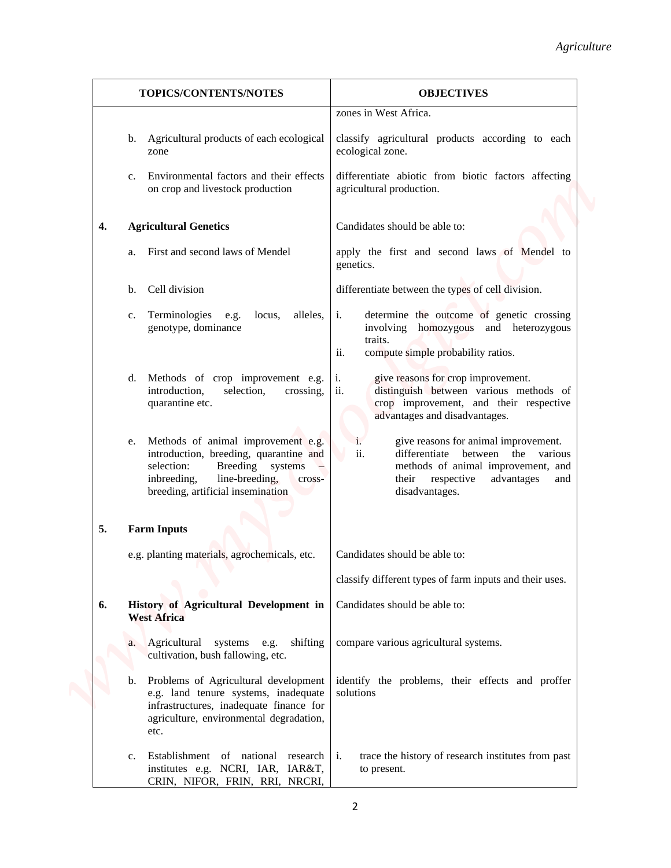|    |                                                                                                                                                                                                      | Agriculture                                                                                                                                                                                |
|----|------------------------------------------------------------------------------------------------------------------------------------------------------------------------------------------------------|--------------------------------------------------------------------------------------------------------------------------------------------------------------------------------------------|
|    | TOPICS/CONTENTS/NOTES                                                                                                                                                                                | <b>OBJECTIVES</b>                                                                                                                                                                          |
|    |                                                                                                                                                                                                      | zones in West Africa.                                                                                                                                                                      |
|    | b. Agricultural products of each ecological<br>zone                                                                                                                                                  | classify agricultural products according to each<br>ecological zone.                                                                                                                       |
|    | Environmental factors and their effects<br>$C_{\bullet}$<br>on crop and livestock production                                                                                                         | differentiate abiotic from biotic factors affecting<br>agricultural production.                                                                                                            |
| 4. | <b>Agricultural Genetics</b>                                                                                                                                                                         | Candidates should be able to:                                                                                                                                                              |
|    | First and second laws of Mendel<br>a.                                                                                                                                                                | apply the first and second laws of Mendel to<br>genetics.                                                                                                                                  |
|    | Cell division<br>b.                                                                                                                                                                                  | differentiate between the types of cell division.                                                                                                                                          |
|    | Terminologies e.g.<br>locus,<br>alleles,<br>c.<br>genotype, dominance                                                                                                                                | i.<br>determine the outcome of genetic crossing<br>involving homozygous and heterozygous<br>traits.<br>ii.<br>compute simple probability ratios.                                           |
|    | Methods of crop improvement e.g.<br>d.<br>introduction,<br>selection,<br>crossing,<br>quarantine etc.                                                                                                | give reasons for crop improvement.<br>1.<br>ii.<br>distinguish between various methods of<br>crop improvement, and their respective<br>advantages and disadvantages.                       |
|    | Methods of animal improvement e.g.<br>e.<br>introduction, breeding, quarantine and<br>selection:<br>Breeding systems<br>line-breeding,<br>inbreeding,<br>cross-<br>breeding, artificial insemination | give reasons for animal improvement.<br>i.<br>ii.<br>differentiate between the various<br>methods of animal improvement, and<br>respective<br>advantages<br>their<br>and<br>disadvantages. |
| 5. | <b>Farm Inputs</b>                                                                                                                                                                                   |                                                                                                                                                                                            |
|    | e.g. planting materials, agrochemicals, etc.                                                                                                                                                         | Candidates should be able to:                                                                                                                                                              |
|    |                                                                                                                                                                                                      | classify different types of farm inputs and their uses.                                                                                                                                    |
| 6. | History of Agricultural Development in<br><b>West Africa</b>                                                                                                                                         | Candidates should be able to:                                                                                                                                                              |
|    | Agricultural systems e.g. shifting<br>a.<br>cultivation, bush fallowing, etc.                                                                                                                        | compare various agricultural systems.                                                                                                                                                      |
|    | Problems of Agricultural development<br>e.g. land tenure systems, inadequate<br>infrastructures, inadequate finance for<br>agriculture, environmental degradation,<br>etc.                           | identify the problems, their effects and proffer<br>solutions                                                                                                                              |
|    | Establishment of national research i.<br>c.<br>institutes e.g. NCRI, IAR, IAR&T,<br>CRIN, NIFOR, FRIN, RRI, NRCRI,                                                                                   | trace the history of research institutes from past<br>to present.                                                                                                                          |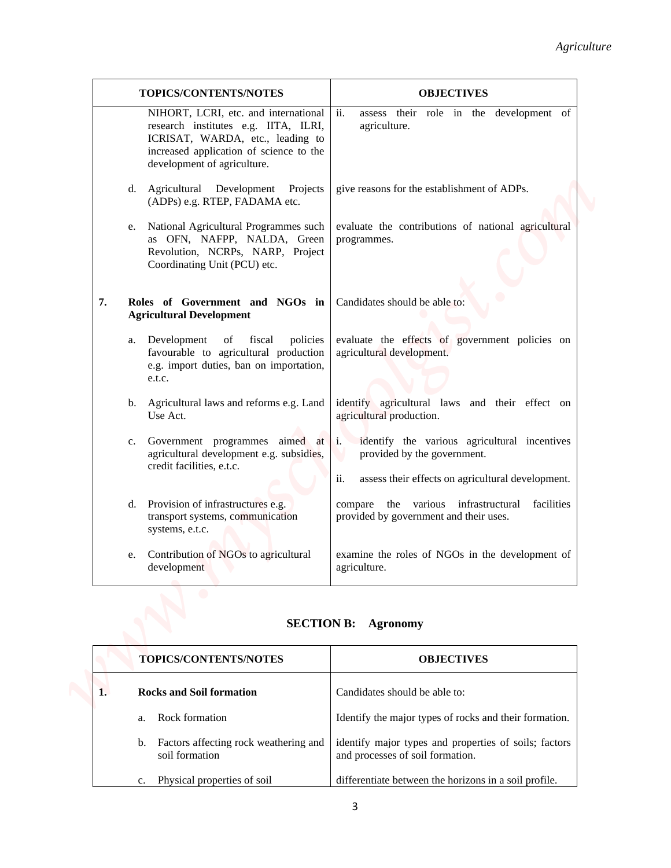|    | TOPICS/CONTENTS/NOTES                                                                                                                                                                      | <b>OBJECTIVES</b>                                                                                                                                         |
|----|--------------------------------------------------------------------------------------------------------------------------------------------------------------------------------------------|-----------------------------------------------------------------------------------------------------------------------------------------------------------|
|    | NIHORT, LCRI, etc. and international<br>research institutes e.g. IITA, ILRI,<br>ICRISAT, WARDA, etc., leading to<br>increased application of science to the<br>development of agriculture. | assess their role in the development of<br>ii.<br>agriculture.                                                                                            |
|    | d. Agricultural Development Projects<br>(ADPs) e.g. RTEP, FADAMA etc.                                                                                                                      | give reasons for the establishment of ADPs.                                                                                                               |
|    | National Agricultural Programmes such<br>e.<br>as OFN, NAFPP, NALDA, Green<br>Revolution, NCRPs, NARP, Project<br>Coordinating Unit (PCU) etc.                                             | evaluate the contributions of national agricultural<br>programmes.                                                                                        |
| 7. | Roles of Government and NGOs in<br><b>Agricultural Development</b>                                                                                                                         | Candidates should be able to:                                                                                                                             |
|    | Development<br>fiscal<br>policies<br>of<br>a.<br>favourable to agricultural production<br>e.g. import duties, ban on importation,<br>e.t.c.                                                | evaluate the effects of government policies on<br>agricultural development.                                                                               |
|    | Agricultural laws and reforms e.g. Land<br>b.<br>Use Act.                                                                                                                                  | identify agricultural laws and their effect on<br>agricultural production.                                                                                |
|    | Government programmes aimed at<br>c.<br>agricultural development e.g. subsidies,<br>credit facilities, e.t.c.                                                                              | identify the various agricultural incentives<br>$\mathbf{1}$ .<br>provided by the government.<br>assess their effects on agricultural development.<br>ii. |
|    | Provision of infrastructures e.g.<br>d.<br>transport systems, communication<br>systems, e.t.c.                                                                                             | compare the various infrastructural<br>facilities<br>provided by government and their uses.                                                               |
|    | Contribution of NGOs to agricultural<br>e.<br>development                                                                                                                                  | examine the roles of NGOs in the development of<br>agriculture.                                                                                           |

# **SECTION B: Agronomy**

|  |    | <b>TOPICS/CONTENTS/NOTES</b>                            | <b>OBJECTIVES</b>                                                                         |
|--|----|---------------------------------------------------------|-------------------------------------------------------------------------------------------|
|  |    | <b>Rocks and Soil formation</b>                         | Candidates should be able to:                                                             |
|  | a  | Rock formation                                          | Identify the major types of rocks and their formation.                                    |
|  | b. | Factors affecting rock weathering and<br>soil formation | identify major types and properties of soils; factors<br>and processes of soil formation. |
|  | c. | Physical properties of soil                             | differentiate between the horizons in a soil profile.                                     |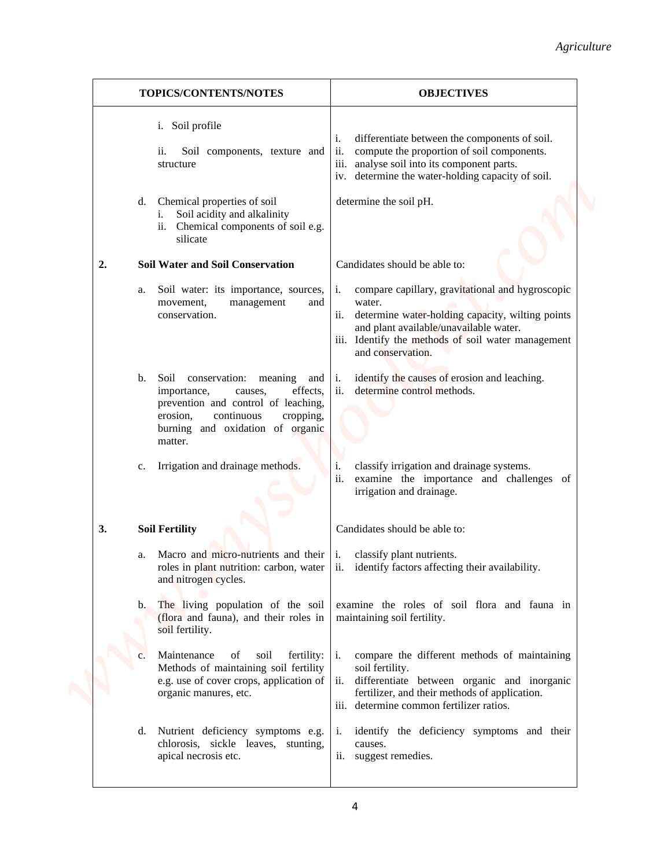|         |                                                                                                                                                                                                                     | Agriculture                                                                                                                                                                                                                                      |
|---------|---------------------------------------------------------------------------------------------------------------------------------------------------------------------------------------------------------------------|--------------------------------------------------------------------------------------------------------------------------------------------------------------------------------------------------------------------------------------------------|
|         | TOPICS/CONTENTS/NOTES                                                                                                                                                                                               | <b>OBJECTIVES</b>                                                                                                                                                                                                                                |
|         | i. Soil profile<br>Soil components, texture and<br>11.<br>structure                                                                                                                                                 | differentiate between the components of soil.<br>i.<br>ii.<br>compute the proportion of soil components.<br>analyse soil into its component parts.<br>111.<br>iv. determine the water-holding capacity of soil.                                  |
| d.      | Chemical properties of soil<br>Soil acidity and alkalinity<br>1.<br>Chemical components of soil e.g.<br>ii.<br>silicate                                                                                             | determine the soil pH.                                                                                                                                                                                                                           |
| 2.      | <b>Soil Water and Soil Conservation</b>                                                                                                                                                                             | Candidates should be able to:                                                                                                                                                                                                                    |
| a.      | Soil water: its importance, sources,<br>movement,<br>and<br>management<br>conservation.                                                                                                                             | compare capillary, gravitational and hygroscopic<br>i.<br>water.<br>ii.<br>determine water-holding capacity, wilting points<br>and plant available/unavailable water.<br>iii. Identify the methods of soil water management<br>and conservation. |
| b.      | Soil conservation:<br>meaning<br>and $\vert i$ .<br>effects,<br>importance,<br>causes,<br>prevention and control of leaching,<br>erosion,<br>continuous<br>cropping,<br>burning and oxidation of organic<br>matter. | identify the causes of erosion and leaching.<br>ii.<br>determine control methods.                                                                                                                                                                |
| c.      | Irrigation and drainage methods.                                                                                                                                                                                    | classify irrigation and drainage systems.<br>i.<br>ii.<br>examine the importance and challenges of<br>irrigation and drainage.                                                                                                                   |
| 3.      | <b>Soil Fertility</b>                                                                                                                                                                                               | Candidates should be able to:                                                                                                                                                                                                                    |
| a.      | Macro and micro-nutrients and their<br>roles in plant nutrition: carbon, water<br>and nitrogen cycles.                                                                                                              | classify plant nutrients.<br>1.<br>ii.<br>identify factors affecting their availability.                                                                                                                                                         |
| $b_{-}$ | The living population of the soil<br>(flora and fauna), and their roles in<br>soil fertility.                                                                                                                       | examine the roles of soil flora and fauna in<br>maintaining soil fertility.                                                                                                                                                                      |
| c.      | Maintenance<br>fertility:<br>of<br>soil<br>Methods of maintaining soil fertility<br>e.g. use of cover crops, application of<br>organic manures, etc.                                                                | compare the different methods of maintaining<br>i.<br>soil fertility.<br>differentiate between organic and inorganic<br>ii.<br>fertilizer, and their methods of application.<br>determine common fertilizer ratios.<br>$\overline{111}$ .        |
| d.      | Nutrient deficiency symptoms e.g.<br>chlorosis, sickle leaves, stunting,<br>apical necrosis etc.                                                                                                                    | identify the deficiency symptoms and their<br>$\mathbf{1}$ .<br>causes.<br>ii. suggest remedies.                                                                                                                                                 |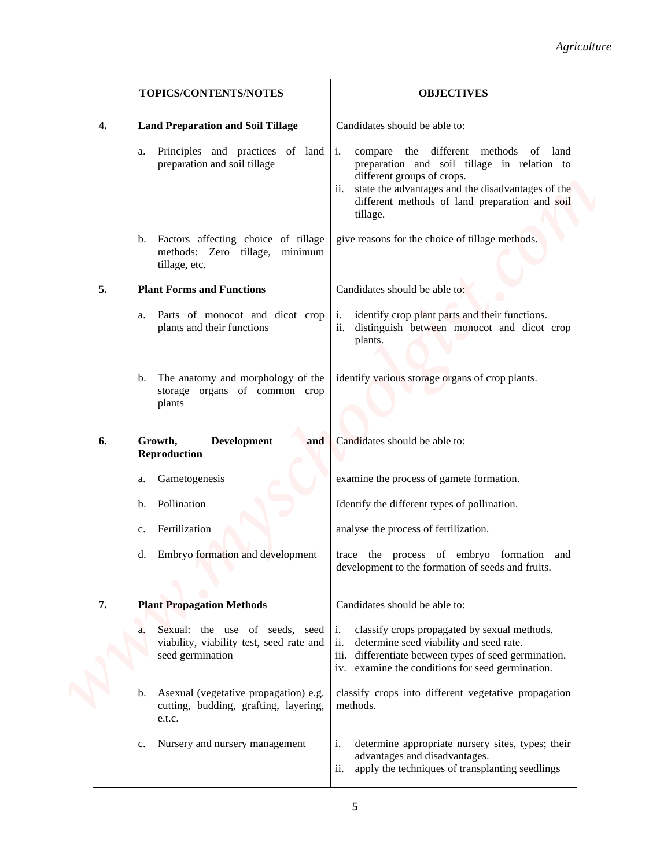|             |                                                                                                | Agriculture                                                                                                                                                                                                                                  |
|-------------|------------------------------------------------------------------------------------------------|----------------------------------------------------------------------------------------------------------------------------------------------------------------------------------------------------------------------------------------------|
|             | TOPICS/CONTENTS/NOTES                                                                          | <b>OBJECTIVES</b>                                                                                                                                                                                                                            |
| 4.          | <b>Land Preparation and Soil Tillage</b>                                                       | Candidates should be able to:                                                                                                                                                                                                                |
| a.          | Principles and practices of land i.<br>preparation and soil tillage                            | compare the different methods of land<br>preparation and soil tillage in relation to<br>different groups of crops.<br>state the advantages and the disadvantages of the<br>ii.<br>different methods of land preparation and soil<br>tillage. |
|             | b. Factors affecting choice of tillage<br>methods: Zero tillage, minimum<br>tillage, etc.      | give reasons for the choice of tillage methods.                                                                                                                                                                                              |
| 5.          | <b>Plant Forms and Functions</b>                                                               | Candidates should be able to:                                                                                                                                                                                                                |
| a.          | Parts of monocot and dicot crop<br>plants and their functions                                  | identify crop plant parts and their functions.<br>$\mathbf{i}$ .<br>distinguish between monocot and dicot crop<br>ii.<br>plants.                                                                                                             |
| b.          | The anatomy and morphology of the<br>storage organs of common crop<br>plants                   | identify various storage organs of crop plants.                                                                                                                                                                                              |
| 6.          | Growth,<br><b>Development</b><br>and<br><b>Reproduction</b>                                    | Candidates should be able to:                                                                                                                                                                                                                |
| a.          | Gametogenesis                                                                                  | examine the process of gamete formation.                                                                                                                                                                                                     |
| b.          | Pollination                                                                                    | Identify the different types of pollination.                                                                                                                                                                                                 |
| $c_{\cdot}$ | Fertilization                                                                                  | analyse the process of fertilization.                                                                                                                                                                                                        |
| d.          | Embryo formation and development                                                               | trace the process of embryo formation and<br>development to the formation of seeds and fruits.                                                                                                                                               |
| 7.          | <b>Plant Propagation Methods</b>                                                               | Candidates should be able to:                                                                                                                                                                                                                |
|             | Sexual: the use of seeds, seed<br>viability, viability test, seed rate and<br>seed germination | classify crops propagated by sexual methods.<br>$\mathbf{1}$ .<br>ii.<br>determine seed viability and seed rate.<br>differentiate between types of seed germination.<br>111.<br>iv. examine the conditions for seed germination.             |
| b.          | Asexual (vegetative propagation) e.g.<br>cutting, budding, grafting, layering,<br>e.t.c.       | classify crops into different vegetative propagation<br>methods.                                                                                                                                                                             |
| c.          | Nursery and nursery management                                                                 | determine appropriate nursery sites, types; their<br>i.<br>advantages and disadvantages.<br>ii.<br>apply the techniques of transplanting seedlings                                                                                           |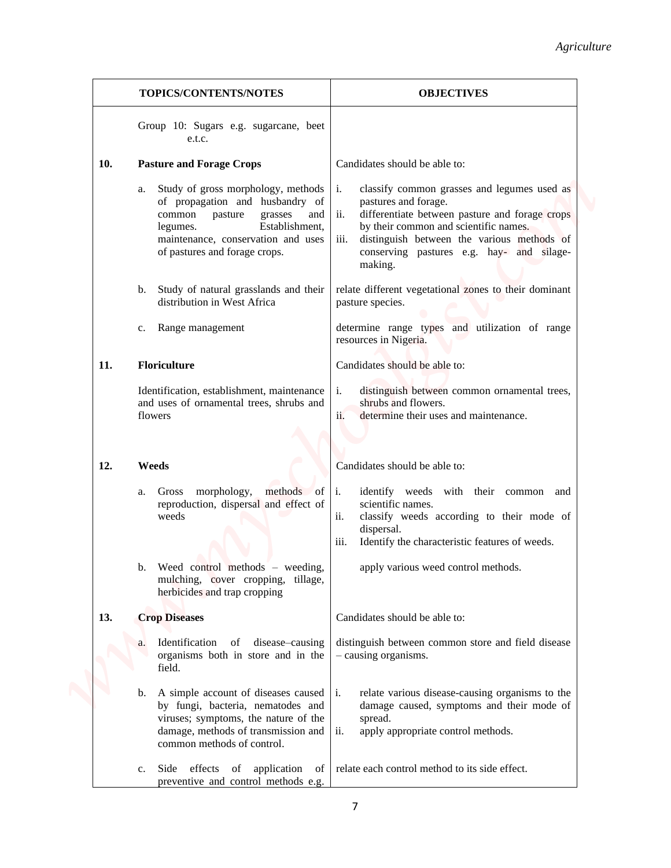|     |                                                                                                                                                                                                                         | Agriculture                                                                                                                                                                                                                                                                               |
|-----|-------------------------------------------------------------------------------------------------------------------------------------------------------------------------------------------------------------------------|-------------------------------------------------------------------------------------------------------------------------------------------------------------------------------------------------------------------------------------------------------------------------------------------|
|     | TOPICS/CONTENTS/NOTES                                                                                                                                                                                                   | <b>OBJECTIVES</b>                                                                                                                                                                                                                                                                         |
|     | Group 10: Sugars e.g. sugarcane, beet<br>e.t.c.                                                                                                                                                                         |                                                                                                                                                                                                                                                                                           |
| 10. | <b>Pasture and Forage Crops</b>                                                                                                                                                                                         | Candidates should be able to:                                                                                                                                                                                                                                                             |
|     | Study of gross morphology, methods<br>a.<br>of propagation and husbandry of<br>common<br>grasses<br>pasture<br>and<br>Establishment,<br>legumes.<br>maintenance, conservation and uses<br>of pastures and forage crops. | classify common grasses and legumes used as<br>i.<br>pastures and forage.<br>differentiate between pasture and forage crops<br>ii.<br>by their common and scientific names.<br>distinguish between the various methods of<br>iii.<br>conserving pastures e.g. hay- and silage-<br>making. |
|     | Study of natural grasslands and their<br>b.<br>distribution in West Africa                                                                                                                                              | relate different vegetational zones to their dominant<br>pasture species.                                                                                                                                                                                                                 |
|     | Range management<br>$c_{\cdot}$                                                                                                                                                                                         | determine range types and utilization of range<br>resources in Nigeria.                                                                                                                                                                                                                   |
| 11. | <b>Floriculture</b>                                                                                                                                                                                                     | Candidates should be able to:                                                                                                                                                                                                                                                             |
|     | Identification, establishment, maintenance<br>and uses of ornamental trees, shrubs and<br>flowers                                                                                                                       | distinguish between common ornamental trees,<br>i.<br>shrubs and flowers.<br>ii.<br>determine their uses and maintenance.                                                                                                                                                                 |
| 12. | Weeds                                                                                                                                                                                                                   | Candidates should be able to:                                                                                                                                                                                                                                                             |
|     | Gross morphology,<br>methods of $i$ .<br>a.<br>reproduction, dispersal and effect of<br>weeds<br>Weed control methods $-$ weeding,<br>b.<br>mulching, cover cropping, tillage,<br>herbicides and trap cropping          | identify weeds with their common and<br>scientific names.<br>ii.<br>classify weeds according to their mode of<br>dispersal.<br>Identify the characteristic features of weeds.<br>iii.<br>apply various weed control methods.                                                              |
| 13. | <b>Crop Diseases</b>                                                                                                                                                                                                    | Candidates should be able to:                                                                                                                                                                                                                                                             |
|     | Identification of disease–causing<br>a.<br>organisms both in store and in the<br>field.                                                                                                                                 | distinguish between common store and field disease<br>- causing organisms.                                                                                                                                                                                                                |
|     | A simple account of diseases caused   i.<br>b.<br>by fungi, bacteria, nematodes and<br>viruses; symptoms, the nature of the<br>damage, methods of transmission and<br>common methods of control.                        | relate various disease-causing organisms to the<br>damage caused, symptoms and their mode of<br>spread.<br>ii.<br>apply appropriate control methods.                                                                                                                                      |
|     | Side effects of application of<br>c.<br>preventive and control methods e.g.                                                                                                                                             | relate each control method to its side effect.                                                                                                                                                                                                                                            |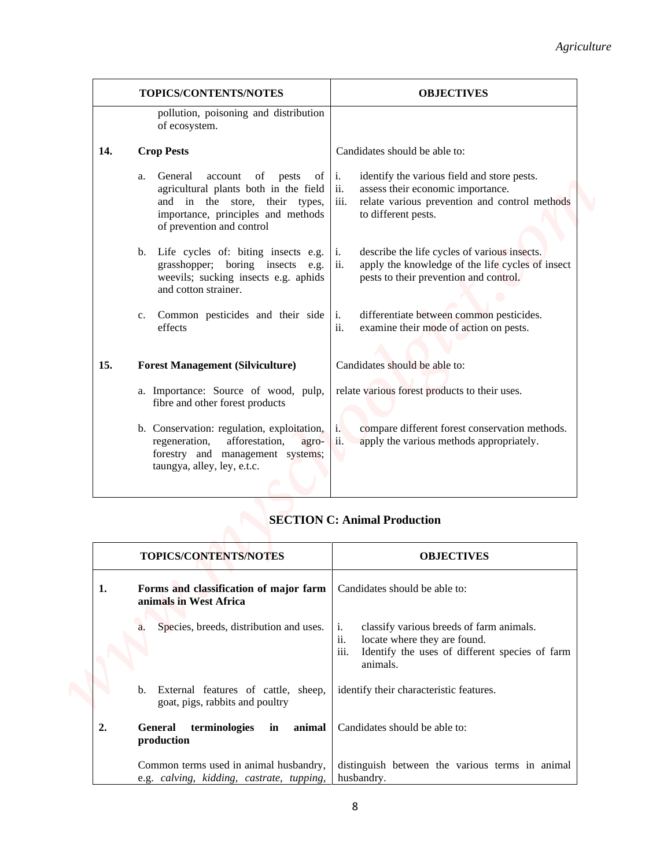|     | TOPICS/CONTENTS/NOTES                                                                                                                                                                                                                                                                                        | <b>OBJECTIVES</b>                                                                                                                                                                                                                                                    |
|-----|--------------------------------------------------------------------------------------------------------------------------------------------------------------------------------------------------------------------------------------------------------------------------------------------------------------|----------------------------------------------------------------------------------------------------------------------------------------------------------------------------------------------------------------------------------------------------------------------|
|     | pollution, poisoning and distribution<br>of ecosystem.                                                                                                                                                                                                                                                       |                                                                                                                                                                                                                                                                      |
| 14. | <b>Crop Pests</b>                                                                                                                                                                                                                                                                                            | Candidates should be able to:                                                                                                                                                                                                                                        |
|     | General<br>account of pests<br>of $\vert$ i.<br>a.<br>agricultural plants both in the field $\vert$ ii.<br>and in the store, their types,<br>importance, principles and methods<br>of prevention and control<br>Life cycles of: biting insects e.g. $\vert$ i.<br>b.<br>grasshopper; boring insects e.g. ii. | identify the various field and store pests.<br>assess their economic importance.<br>relate various prevention and control methods<br>iii.<br>to different pests.<br>describe the life cycles of various insects.<br>apply the knowledge of the life cycles of insect |
|     | weevils; sucking insects e.g. aphids<br>and cotton strainer.                                                                                                                                                                                                                                                 | pests to their prevention and control.                                                                                                                                                                                                                               |
|     | Common pesticides and their side<br>c.<br>effects                                                                                                                                                                                                                                                            | differentiate between common pesticides.<br>$\mathbf{1}$ .<br>ii.<br>examine their mode of action on pests.                                                                                                                                                          |
| 15. | <b>Forest Management (Silviculture)</b>                                                                                                                                                                                                                                                                      | Candidates should be able to:                                                                                                                                                                                                                                        |
|     | a. Importance: Source of wood, pulp,<br>fibre and other forest products                                                                                                                                                                                                                                      | relate various forest products to their uses.                                                                                                                                                                                                                        |
|     | b. Conservation: regulation, exploitation,<br>afforestation,<br>regeneration,<br>agro-<br>forestry and management systems;<br>taungya, alley, ley, e.t.c.                                                                                                                                                    | compare different forest conservation methods.<br>i.<br>ii.<br>apply the various methods appropriately.                                                                                                                                                              |
|     |                                                                                                                                                                                                                                                                                                              | <b>SECTION C: Animal Production</b>                                                                                                                                                                                                                                  |
|     | <b>TOPICS/CONTENTS/NOTES</b>                                                                                                                                                                                                                                                                                 | <b>OBJECTIVES</b>                                                                                                                                                                                                                                                    |
| 1.  | Forms and classification of major farm<br>animals in West Africa                                                                                                                                                                                                                                             | Candidates should be able to:                                                                                                                                                                                                                                        |
|     | Species, breeds, distribution and uses.<br>a.                                                                                                                                                                                                                                                                | classify various breeds of farm animals.<br>i.<br>ii.<br>locate where they are found.<br>iii.<br>Identify the uses of different species of farm<br>animals.                                                                                                          |
|     | External features of cattle, sheep,<br>b.<br>goat, pigs, rabbits and poultry                                                                                                                                                                                                                                 | identify their characteristic features.                                                                                                                                                                                                                              |

# **SECTION C: Animal Production**

|    | <b>TOPICS/CONTENTS/NOTES</b>                                                        | <b>OBJECTIVES</b>                                                                                                                                                         |
|----|-------------------------------------------------------------------------------------|---------------------------------------------------------------------------------------------------------------------------------------------------------------------------|
| 1. | Forms and classification of major farm<br>animals in West Africa                    | Candidates should be able to:                                                                                                                                             |
|    | Species, breeds, distribution and uses.<br>a.                                       | classify various breeds of farm animals.<br>i.<br>locate where they are found.<br>$\overline{11}$ .<br>iii.<br>Identify the uses of different species of farm<br>animals. |
|    | b.<br>External features of cattle, sheep,<br>goat, pigs, rabbits and poultry        | identify their characteristic features.                                                                                                                                   |
| 2. | terminologies<br>in<br>General<br>animal<br>production                              | Candidates should be able to:                                                                                                                                             |
|    | Common terms used in animal husbandry,<br>e.g. calving, kidding, castrate, tupping, | distinguish between the various terms in animal<br>husbandry.                                                                                                             |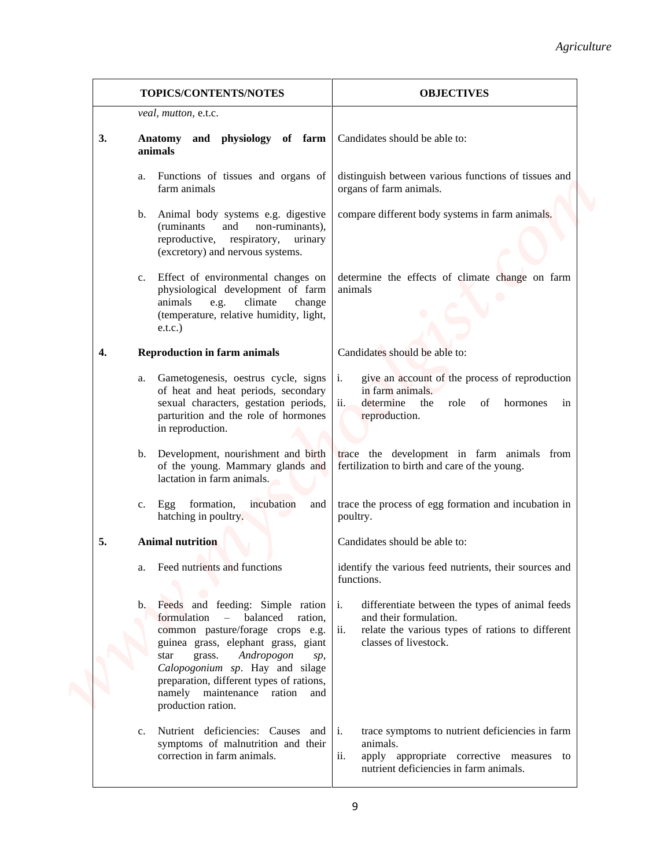|                |                                                                                                                                                                                                                                                                                                                               | Agriculture                                                                                                                                                              |
|----------------|-------------------------------------------------------------------------------------------------------------------------------------------------------------------------------------------------------------------------------------------------------------------------------------------------------------------------------|--------------------------------------------------------------------------------------------------------------------------------------------------------------------------|
|                | TOPICS/CONTENTS/NOTES                                                                                                                                                                                                                                                                                                         | <b>OBJECTIVES</b>                                                                                                                                                        |
|                | veal, mutton, e.t.c.                                                                                                                                                                                                                                                                                                          |                                                                                                                                                                          |
| 3.             | and physiology of farm<br><b>Anatomy</b><br>animals                                                                                                                                                                                                                                                                           | Candidates should be able to:                                                                                                                                            |
| a.             | Functions of tissues and organs of<br>farm animals                                                                                                                                                                                                                                                                            | distinguish between various functions of tissues and<br>organs of farm animals.                                                                                          |
| b.             | Animal body systems e.g. digestive<br>(ruminants)<br>and<br>non-ruminants),<br>reproductive, respiratory,<br>urinary<br>(excretory) and nervous systems.                                                                                                                                                                      | compare different body systems in farm animals.                                                                                                                          |
| c.             | Effect of environmental changes on<br>physiological development of farm<br>climate<br>animals<br>e.g.<br>change<br>(temperature, relative humidity, light,<br>e.t.c.)                                                                                                                                                         | determine the effects of climate change on farm<br>animals                                                                                                               |
| 4.             | <b>Reproduction in farm animals</b>                                                                                                                                                                                                                                                                                           | Candidates should be able to:                                                                                                                                            |
|                | Gametogenesis, oestrus cycle, signs<br>а.<br>of heat and heat periods, secondary<br>sexual characters, gestation periods,<br>parturition and the role of hormones<br>in reproduction.                                                                                                                                         | give an account of the process of reproduction<br>i.<br>in farm animals.<br>determine<br>ii.<br>the<br>role of<br>hormones<br>in<br>reproduction.                        |
|                | lactation in farm animals.                                                                                                                                                                                                                                                                                                    | b. Development, nourishment and birth trace the development in farm animals from<br>of the young. Mammary glands and fertilization to birth and care of the young.       |
| c.             | formation,<br>incubation<br>Egg<br>and<br>hatching in poultry.                                                                                                                                                                                                                                                                | trace the process of egg formation and incubation in<br>poultry.                                                                                                         |
| 5.             | <b>Animal nutrition</b>                                                                                                                                                                                                                                                                                                       | Candidates should be able to:                                                                                                                                            |
| a.             | Feed nutrients and functions                                                                                                                                                                                                                                                                                                  | identify the various feed nutrients, their sources and<br>functions.                                                                                                     |
|                | b. Feeds and feeding: Simple ration<br>formulation – balanced ration,<br>common pasture/forage crops e.g.<br>guinea grass, elephant grass, giant<br>Andropogon<br>grass.<br>star<br>sp,<br>Calopogonium sp. Hay and silage<br>preparation, different types of rations,<br>namely maintenance ration and<br>production ration. | differentiate between the types of animal feeds<br>i.<br>and their formulation.<br>ii.<br>relate the various types of rations to different<br>classes of livestock.      |
| $\mathbf{c}$ . | Nutrient deficiencies: Causes and<br>symptoms of malnutrition and their<br>correction in farm animals.                                                                                                                                                                                                                        | trace symptoms to nutrient deficiencies in farm<br><sup>1</sup><br>animals.<br>ii.<br>apply appropriate corrective measures to<br>nutrient deficiencies in farm animals. |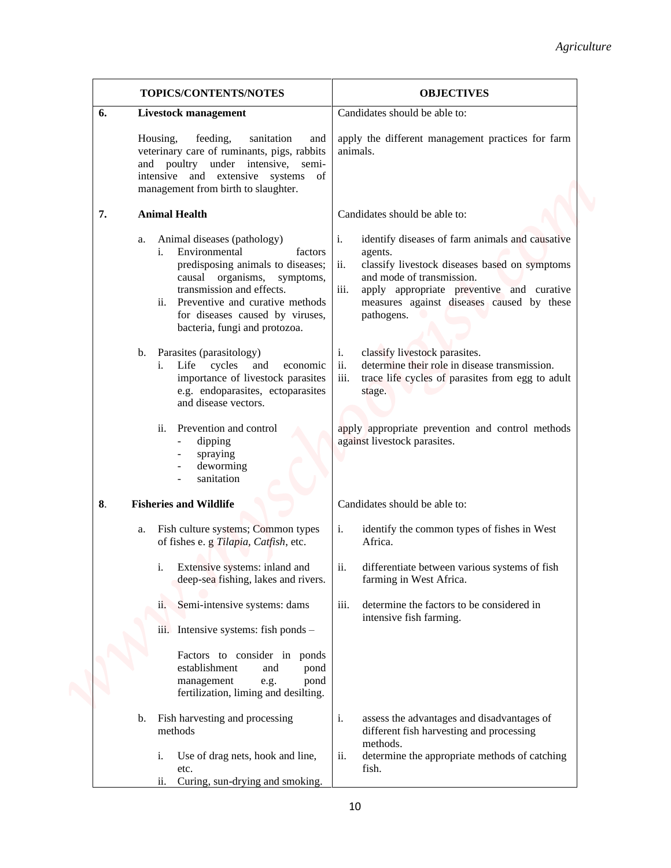|    |                                                                                                                                                                                                                                                                                                                                                                                                                                                                                                                                                | Agriculture                                                                                                                                                                                                                                                                                                                                                                                                                                                                                                                    |
|----|------------------------------------------------------------------------------------------------------------------------------------------------------------------------------------------------------------------------------------------------------------------------------------------------------------------------------------------------------------------------------------------------------------------------------------------------------------------------------------------------------------------------------------------------|--------------------------------------------------------------------------------------------------------------------------------------------------------------------------------------------------------------------------------------------------------------------------------------------------------------------------------------------------------------------------------------------------------------------------------------------------------------------------------------------------------------------------------|
|    | TOPICS/CONTENTS/NOTES                                                                                                                                                                                                                                                                                                                                                                                                                                                                                                                          | <b>OBJECTIVES</b>                                                                                                                                                                                                                                                                                                                                                                                                                                                                                                              |
| 6. | <b>Livestock management</b><br>Housing,<br>feeding,<br>sanitation<br>and<br>veterinary care of ruminants, pigs, rabbits<br>and poultry under intensive, semi-<br>intensive and extensive systems of<br>management from birth to slaughter.                                                                                                                                                                                                                                                                                                     | Candidates should be able to:<br>apply the different management practices for farm<br>animals.                                                                                                                                                                                                                                                                                                                                                                                                                                 |
| 7. | <b>Animal Health</b>                                                                                                                                                                                                                                                                                                                                                                                                                                                                                                                           | Candidates should be able to:                                                                                                                                                                                                                                                                                                                                                                                                                                                                                                  |
|    | Animal diseases (pathology)<br>a.<br>Environmental<br>i.<br>factors<br>predisposing animals to diseases;<br>causal organisms, symptoms,<br>transmission and effects.<br>ii.<br>Preventive and curative methods<br>for diseases caused by viruses,<br>bacteria, fungi and protozoa.<br>Parasites (parasitology)<br>b.<br>Life cycles and<br>economic<br>i.<br>importance of livestock parasites<br>e.g. endoparasites, ectoparasites<br>and disease vectors.<br>Prevention and control<br>ii.<br>dipping<br>spraying<br>deworming<br>sanitation | identify diseases of farm animals and causative<br>i.<br>agents.<br>ii.<br>classify livestock diseases based on symptoms<br>and mode of transmission.<br>iii.<br>apply appropriate preventive and curative<br>measures against diseases caused by these<br>pathogens.<br>classify livestock parasites.<br>i.<br>ii.<br>determine their role in disease transmission.<br>iii.<br>trace life cycles of parasites from egg to adult<br>stage.<br>apply appropriate prevention and control methods<br>against livestock parasites. |
| 8. | <b>Fisheries and Wildlife</b>                                                                                                                                                                                                                                                                                                                                                                                                                                                                                                                  | Candidates should be able to:                                                                                                                                                                                                                                                                                                                                                                                                                                                                                                  |
|    | Fish culture systems; Common types<br>a.<br>of fishes e. g Tilapia, Catfish, etc.                                                                                                                                                                                                                                                                                                                                                                                                                                                              | i.<br>identify the common types of fishes in West<br>Africa.                                                                                                                                                                                                                                                                                                                                                                                                                                                                   |
|    | Extensive systems: inland and<br>i.<br>deep-sea fishing, lakes and rivers.                                                                                                                                                                                                                                                                                                                                                                                                                                                                     | ii.<br>differentiate between various systems of fish<br>farming in West Africa.                                                                                                                                                                                                                                                                                                                                                                                                                                                |
|    | Semi-intensive systems: dams<br>11.<br>Intensive systems: fish ponds -<br>iii.                                                                                                                                                                                                                                                                                                                                                                                                                                                                 | determine the factors to be considered in<br>iii.<br>intensive fish farming.                                                                                                                                                                                                                                                                                                                                                                                                                                                   |
|    | Factors to consider in<br>ponds<br>establishment<br>and<br>pond<br>management<br>pond<br>e.g.<br>fertilization, liming and desilting.                                                                                                                                                                                                                                                                                                                                                                                                          |                                                                                                                                                                                                                                                                                                                                                                                                                                                                                                                                |
|    | Fish harvesting and processing<br>b.<br>methods<br>Use of drag nets, hook and line,<br>1.<br>etc.<br>Curing, sun-drying and smoking.<br>ii.                                                                                                                                                                                                                                                                                                                                                                                                    | assess the advantages and disadvantages of<br>i.<br>different fish harvesting and processing<br>methods.<br>ii.<br>determine the appropriate methods of catching<br>fish.                                                                                                                                                                                                                                                                                                                                                      |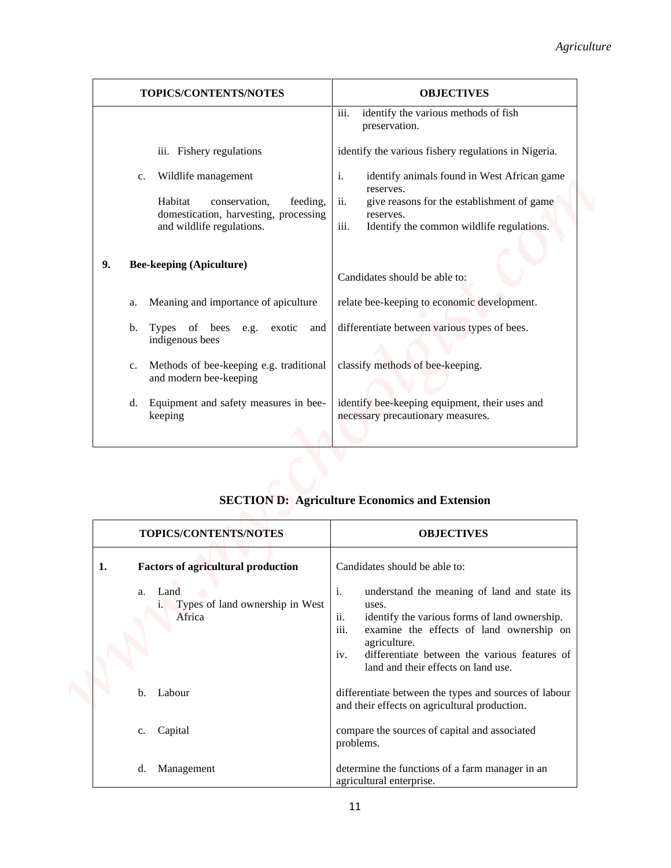|    | TOPICS/CONTENTS/NOTES                                                   | <b>OBJECTIVES</b>                                                                                                                                                                                                                                                                      |
|----|-------------------------------------------------------------------------|----------------------------------------------------------------------------------------------------------------------------------------------------------------------------------------------------------------------------------------------------------------------------------------|
|    |                                                                         | identify the various methods of fish<br>iii.<br>preservation.                                                                                                                                                                                                                          |
|    | iii. Fishery regulations                                                | identify the various fishery regulations in Nigeria.                                                                                                                                                                                                                                   |
|    | Wildlife management<br>$\mathbf{c}$ .                                   | $\mathbf{i}$ .<br>identify animals found in West African game                                                                                                                                                                                                                          |
|    | Habitat<br>feeding,<br>conservation,                                    | reserves.<br>give reasons for the establishment of game<br>ii.                                                                                                                                                                                                                         |
|    | domestication, harvesting, processing<br>and wildlife regulations.      | reserves.<br>iii.<br>Identify the common wildlife regulations.                                                                                                                                                                                                                         |
|    |                                                                         |                                                                                                                                                                                                                                                                                        |
| 9. | <b>Bee-keeping (Apiculture)</b>                                         | Candidates should be able to:                                                                                                                                                                                                                                                          |
|    | Meaning and importance of apiculture<br>a.                              | relate bee-keeping to economic development.                                                                                                                                                                                                                                            |
|    | Types of bees e.g.<br>exotic and<br>b.<br>indigenous bees               | differentiate between various types of bees.                                                                                                                                                                                                                                           |
|    | Methods of bee-keeping e.g. traditional<br>c.<br>and modern bee-keeping | classify methods of bee-keeping.                                                                                                                                                                                                                                                       |
|    | Equipment and safety measures in bee-<br>d.<br>keeping                  | identify bee-keeping equipment, their uses and<br>necessary precautionary measures.                                                                                                                                                                                                    |
|    |                                                                         |                                                                                                                                                                                                                                                                                        |
|    |                                                                         | <b>SECTION D: Agriculture Economics and Extension</b>                                                                                                                                                                                                                                  |
|    | TOPICS/CONTENTS/NOTES                                                   | <b>OBJECTIVES</b>                                                                                                                                                                                                                                                                      |
| 1. | <b>Factors of agricultural production</b>                               | Candidates should be able to:                                                                                                                                                                                                                                                          |
|    | Land<br>a.<br>i. Types of land ownership in West<br>Africa              | i.<br>understand the meaning of land and state its<br>uses.<br>ii.<br>identify the various forms of land ownership.<br>iii.<br>examine the effects of land ownership on<br>agriculture.<br>differentiate between the various features of<br>iv.<br>land and their effects on land use. |
|    | b. Labour                                                               | differentiate between the types and sources of labour<br>and their effects on agricultural production.                                                                                                                                                                                 |

# **SECTION D: Agriculture Economics and Extension**

| <b>TOPICS/CONTENTS/NOTES</b>                                                                                     |                   | <b>OBJECTIVES</b>                                                                                                                                                                   |
|------------------------------------------------------------------------------------------------------------------|-------------------|-------------------------------------------------------------------------------------------------------------------------------------------------------------------------------------|
| <b>Factors of agricultural production</b><br>1.<br>Land<br>a.<br>Types of land ownership in West<br>1.<br>Africa | i.<br>ii.<br>iii. | Candidates should be able to:<br>understand the meaning of land and state its<br>uses.<br>identify the various forms of land ownership.<br>examine the effects of land ownership on |
|                                                                                                                  | iv.               | agriculture.<br>differentiate between the various features of<br>land and their effects on land use.                                                                                |
| $h_{\cdot}$<br>Labour                                                                                            |                   | differentiate between the types and sources of labour<br>and their effects on agricultural production.                                                                              |
| Capital<br>c.                                                                                                    |                   | compare the sources of capital and associated<br>problems.                                                                                                                          |
| d.<br>Management                                                                                                 |                   | determine the functions of a farm manager in an<br>agricultural enterprise.                                                                                                         |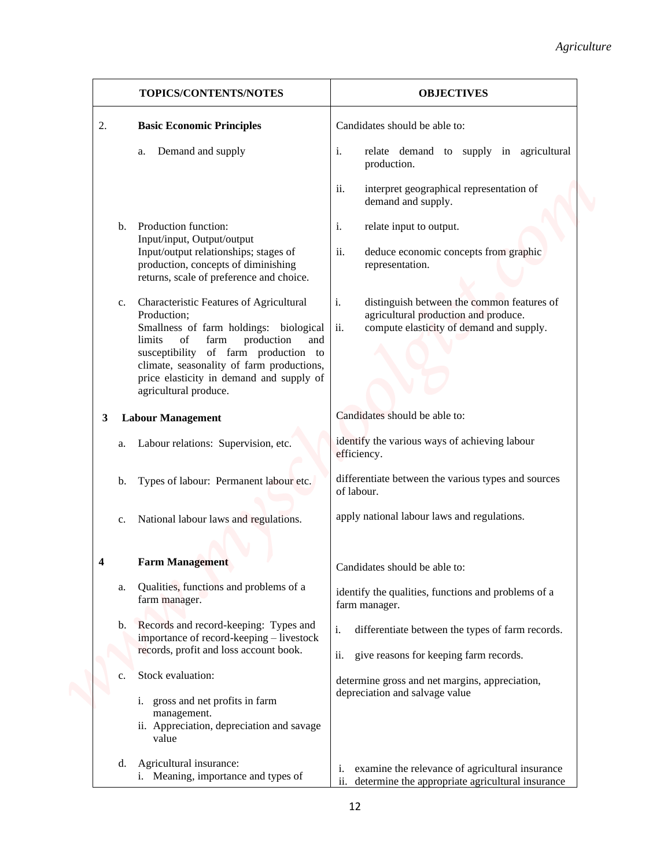|                  |                |                                                                                                                                                                                                                                                                                                         | Agriculture                                                                                                                                 |
|------------------|----------------|---------------------------------------------------------------------------------------------------------------------------------------------------------------------------------------------------------------------------------------------------------------------------------------------------------|---------------------------------------------------------------------------------------------------------------------------------------------|
|                  |                | TOPICS/CONTENTS/NOTES                                                                                                                                                                                                                                                                                   | <b>OBJECTIVES</b>                                                                                                                           |
| 2.               |                | <b>Basic Economic Principles</b>                                                                                                                                                                                                                                                                        | Candidates should be able to:                                                                                                               |
|                  |                | Demand and supply<br>a.                                                                                                                                                                                                                                                                                 | i.<br>relate demand to supply in agricultural<br>production.                                                                                |
|                  |                |                                                                                                                                                                                                                                                                                                         | ii.<br>interpret geographical representation of<br>demand and supply.                                                                       |
|                  | $b_{1}$        | Production function:                                                                                                                                                                                                                                                                                    | i.<br>relate input to output.                                                                                                               |
|                  |                | Input/input, Output/output<br>Input/output relationships; stages of<br>production, concepts of diminishing<br>returns, scale of preference and choice.                                                                                                                                                  | ii.<br>deduce economic concepts from graphic<br>representation.                                                                             |
|                  | c.             | Characteristic Features of Agricultural<br>Production;<br>Smallness of farm holdings: biological<br>limits<br>of<br>farm<br>production<br>and<br>susceptibility of farm production to<br>climate, seasonality of farm productions,<br>price elasticity in demand and supply of<br>agricultural produce. | i.<br>distinguish between the common features of<br>agricultural production and produce.<br>ii.<br>compute elasticity of demand and supply. |
| 3                |                | <b>Labour Management</b>                                                                                                                                                                                                                                                                                | Candidates should be able to:                                                                                                               |
|                  | a.             | Labour relations: Supervision, etc.                                                                                                                                                                                                                                                                     | identify the various ways of achieving labour<br>efficiency.                                                                                |
|                  | b.             | Types of labour: Permanent labour etc.                                                                                                                                                                                                                                                                  | differentiate between the various types and sources<br>of labour.                                                                           |
|                  | $\mathbf{c}$ . | National labour laws and regulations.                                                                                                                                                                                                                                                                   | apply national labour laws and regulations.                                                                                                 |
| $\boldsymbol{4}$ |                | <b>Farm Management</b>                                                                                                                                                                                                                                                                                  | Candidates should be able to:                                                                                                               |
|                  | а.             | Qualities, functions and problems of a<br>farm manager.                                                                                                                                                                                                                                                 | identify the qualities, functions and problems of a<br>farm manager.                                                                        |
|                  | b.             | Records and record-keeping: Types and<br>importance of record-keeping - livestock                                                                                                                                                                                                                       | differentiate between the types of farm records.<br>i.                                                                                      |
|                  |                | records, profit and loss account book.                                                                                                                                                                                                                                                                  | ii.<br>give reasons for keeping farm records.                                                                                               |
|                  | c.             | Stock evaluation:                                                                                                                                                                                                                                                                                       | determine gross and net margins, appreciation,<br>depreciation and salvage value                                                            |
|                  |                | i. gross and net profits in farm<br>management.<br>ii. Appreciation, depreciation and savage<br>value                                                                                                                                                                                                   |                                                                                                                                             |
|                  | d.             | Agricultural insurance:<br>i. Meaning, importance and types of                                                                                                                                                                                                                                          | examine the relevance of agricultural insurance<br>i.<br>ii. determine the appropriate agricultural insurance                               |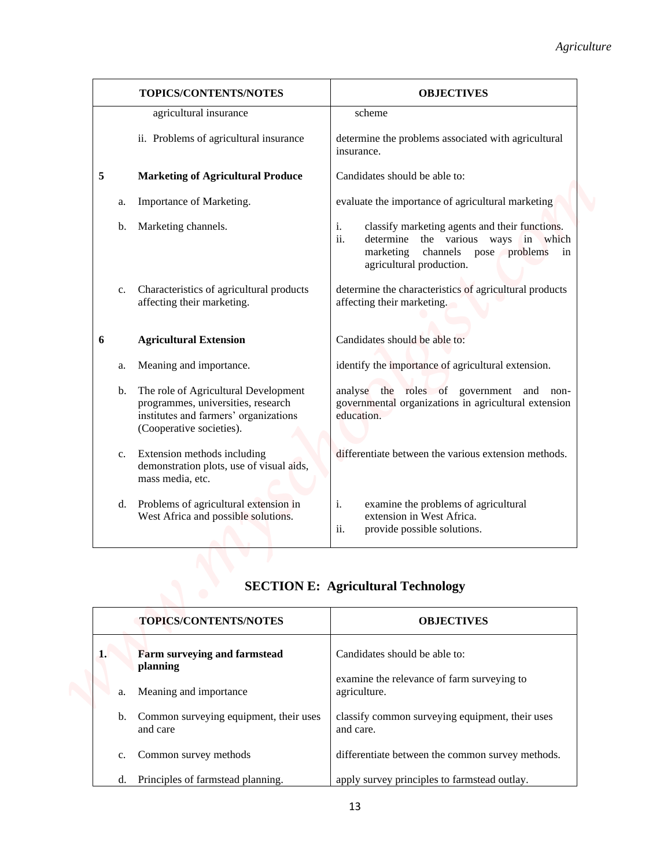|    |             | TOPICS/CONTENTS/NOTES                                                                                                                           | <b>OBJECTIVES</b>                                                                                                                                                           |
|----|-------------|-------------------------------------------------------------------------------------------------------------------------------------------------|-----------------------------------------------------------------------------------------------------------------------------------------------------------------------------|
|    |             | agricultural insurance                                                                                                                          | scheme                                                                                                                                                                      |
|    |             | ii. Problems of agricultural insurance                                                                                                          | determine the problems associated with agricultural<br>insurance.                                                                                                           |
| 5  |             | <b>Marketing of Agricultural Produce</b>                                                                                                        | Candidates should be able to:                                                                                                                                               |
|    | a.          | Importance of Marketing.                                                                                                                        | evaluate the importance of agricultural marketing                                                                                                                           |
|    | b.          | Marketing channels.                                                                                                                             | classify marketing agents and their functions.<br>i.<br>ii.<br>determine the various ways in which<br>channels<br>pose problems in<br>marketing<br>agricultural production. |
|    | c.          | Characteristics of agricultural products<br>affecting their marketing.                                                                          | determine the characteristics of agricultural products<br>affecting their marketing.                                                                                        |
| 6  |             | <b>Agricultural Extension</b>                                                                                                                   | Candidates should be able to:                                                                                                                                               |
|    | a.          | Meaning and importance.                                                                                                                         | identify the importance of agricultural extension.                                                                                                                          |
|    | b.          | The role of Agricultural Development<br>programmes, universities, research<br>institutes and farmers' organizations<br>(Cooperative societies). | analyse the roles of government and non-<br>governmental organizations in agricultural extension<br>education.                                                              |
|    | $c_{\cdot}$ | Extension methods including<br>demonstration plots, use of visual aids,<br>mass media, etc.                                                     | differentiate between the various extension methods.                                                                                                                        |
|    | d.          | Problems of agricultural extension in<br>West Africa and possible solutions.                                                                    | examine the problems of agricultural<br>i.<br>extension in West Africa.<br>ii.<br>provide possible solutions.                                                               |
|    |             |                                                                                                                                                 | <b>SECTION E: Agricultural Technology</b>                                                                                                                                   |
|    |             | TOPICS/CONTENTS/NOTES                                                                                                                           | <b>OBJECTIVES</b>                                                                                                                                                           |
| 1. |             | Farm surveying and farmstead<br>planning                                                                                                        | Candidates should be able to:                                                                                                                                               |
|    | a.          | Meaning and importance                                                                                                                          | examine the relevance of farm surveying to<br>agriculture.                                                                                                                  |
|    |             |                                                                                                                                                 |                                                                                                                                                                             |

| <b>TOPICS/CONTENTS/NOTES</b>                          | <b>OBJECTIVES</b>                                            |
|-------------------------------------------------------|--------------------------------------------------------------|
| <b>Farm surveying and farmstead</b><br>1.<br>planning | Candidates should be able to:                                |
| Meaning and importance<br>a.                          | examine the relevance of farm surveying to<br>agriculture.   |
| b. Common surveying equipment, their uses<br>and care | classify common surveying equipment, their uses<br>and care. |
| Common survey methods<br>$\mathbf{c}$ .               | differentiate between the common survey methods.             |
| Principles of farmstead planning.<br>d.               | apply survey principles to farmstead outlay.                 |

# **SECTION E: Agricultural Technology**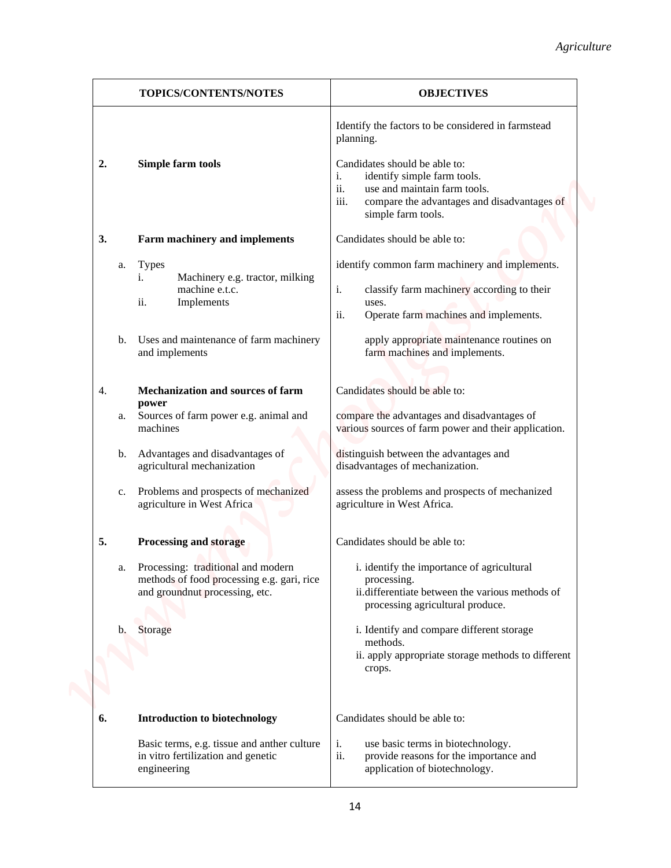| TOPICS/CONTENTS/NOTES<br><b>OBJECTIVES</b><br>Identify the factors to be considered in farmstead<br>planning.<br>Candidates should be able to:<br>Simple farm tools<br>identify simple farm tools.<br>i.<br>ii.<br>use and maintain farm tools.<br>iii.<br>simple farm tools.<br>Candidates should be able to:<br>Farm machinery and implements<br>identify common farm machinery and implements.<br><b>Types</b><br>Machinery e.g. tractor, milking<br>1.<br>i.<br>machine e.t.c.<br>classify farm machinery according to their<br>ii.<br>Implements<br>uses.<br>ii.<br>Operate farm machines and implements.<br>Uses and maintenance of farm machinery<br>apply appropriate maintenance routines on<br>farm machines and implements.<br>and implements<br>Candidates should be able to:<br><b>Mechanization and sources of farm</b><br>power<br>Sources of farm power e.g. animal and<br>compare the advantages and disadvantages of<br>machines<br>b. Advantages and disadvantages of<br>distinguish between the advantages and<br>agricultural mechanization<br>disadvantages of mechanization.<br>Problems and prospects of mechanized<br>assess the problems and prospects of mechanized<br>agriculture in West Africa<br>agriculture in West Africa.<br>Processing and storage<br>Candidates should be able to:<br>Processing: traditional and modern<br>i. identify the importance of agricultural<br>methods of food processing e.g. gari, rice<br>processing.<br>and groundnut processing, etc.<br>processing agricultural produce.<br>i. Identify and compare different storage<br>Storage<br>methods.<br>crops.<br><b>Introduction to biotechnology</b><br>Candidates should be able to:<br>Basic terms, e.g. tissue and anther culture<br>i.<br>use basic terms in biotechnology. |    |    |                                    | Agriculture                                          |
|------------------------------------------------------------------------------------------------------------------------------------------------------------------------------------------------------------------------------------------------------------------------------------------------------------------------------------------------------------------------------------------------------------------------------------------------------------------------------------------------------------------------------------------------------------------------------------------------------------------------------------------------------------------------------------------------------------------------------------------------------------------------------------------------------------------------------------------------------------------------------------------------------------------------------------------------------------------------------------------------------------------------------------------------------------------------------------------------------------------------------------------------------------------------------------------------------------------------------------------------------------------------------------------------------------------------------------------------------------------------------------------------------------------------------------------------------------------------------------------------------------------------------------------------------------------------------------------------------------------------------------------------------------------------------------------------------------------------------------------------------------------------------------------------|----|----|------------------------------------|------------------------------------------------------|
|                                                                                                                                                                                                                                                                                                                                                                                                                                                                                                                                                                                                                                                                                                                                                                                                                                                                                                                                                                                                                                                                                                                                                                                                                                                                                                                                                                                                                                                                                                                                                                                                                                                                                                                                                                                                |    |    |                                    |                                                      |
|                                                                                                                                                                                                                                                                                                                                                                                                                                                                                                                                                                                                                                                                                                                                                                                                                                                                                                                                                                                                                                                                                                                                                                                                                                                                                                                                                                                                                                                                                                                                                                                                                                                                                                                                                                                                |    |    |                                    |                                                      |
|                                                                                                                                                                                                                                                                                                                                                                                                                                                                                                                                                                                                                                                                                                                                                                                                                                                                                                                                                                                                                                                                                                                                                                                                                                                                                                                                                                                                                                                                                                                                                                                                                                                                                                                                                                                                | 2. |    |                                    | compare the advantages and disadvantages of          |
|                                                                                                                                                                                                                                                                                                                                                                                                                                                                                                                                                                                                                                                                                                                                                                                                                                                                                                                                                                                                                                                                                                                                                                                                                                                                                                                                                                                                                                                                                                                                                                                                                                                                                                                                                                                                | 3. |    |                                    |                                                      |
|                                                                                                                                                                                                                                                                                                                                                                                                                                                                                                                                                                                                                                                                                                                                                                                                                                                                                                                                                                                                                                                                                                                                                                                                                                                                                                                                                                                                                                                                                                                                                                                                                                                                                                                                                                                                |    | a. |                                    |                                                      |
|                                                                                                                                                                                                                                                                                                                                                                                                                                                                                                                                                                                                                                                                                                                                                                                                                                                                                                                                                                                                                                                                                                                                                                                                                                                                                                                                                                                                                                                                                                                                                                                                                                                                                                                                                                                                |    | b. |                                    |                                                      |
|                                                                                                                                                                                                                                                                                                                                                                                                                                                                                                                                                                                                                                                                                                                                                                                                                                                                                                                                                                                                                                                                                                                                                                                                                                                                                                                                                                                                                                                                                                                                                                                                                                                                                                                                                                                                | 4. |    |                                    |                                                      |
|                                                                                                                                                                                                                                                                                                                                                                                                                                                                                                                                                                                                                                                                                                                                                                                                                                                                                                                                                                                                                                                                                                                                                                                                                                                                                                                                                                                                                                                                                                                                                                                                                                                                                                                                                                                                |    | a. |                                    | various sources of farm power and their application. |
|                                                                                                                                                                                                                                                                                                                                                                                                                                                                                                                                                                                                                                                                                                                                                                                                                                                                                                                                                                                                                                                                                                                                                                                                                                                                                                                                                                                                                                                                                                                                                                                                                                                                                                                                                                                                |    |    |                                    |                                                      |
|                                                                                                                                                                                                                                                                                                                                                                                                                                                                                                                                                                                                                                                                                                                                                                                                                                                                                                                                                                                                                                                                                                                                                                                                                                                                                                                                                                                                                                                                                                                                                                                                                                                                                                                                                                                                |    | c. |                                    |                                                      |
|                                                                                                                                                                                                                                                                                                                                                                                                                                                                                                                                                                                                                                                                                                                                                                                                                                                                                                                                                                                                                                                                                                                                                                                                                                                                                                                                                                                                                                                                                                                                                                                                                                                                                                                                                                                                | 5. |    |                                    |                                                      |
|                                                                                                                                                                                                                                                                                                                                                                                                                                                                                                                                                                                                                                                                                                                                                                                                                                                                                                                                                                                                                                                                                                                                                                                                                                                                                                                                                                                                                                                                                                                                                                                                                                                                                                                                                                                                |    | a. |                                    | ii.differentiate between the various methods of      |
|                                                                                                                                                                                                                                                                                                                                                                                                                                                                                                                                                                                                                                                                                                                                                                                                                                                                                                                                                                                                                                                                                                                                                                                                                                                                                                                                                                                                                                                                                                                                                                                                                                                                                                                                                                                                |    | b. |                                    | ii. apply appropriate storage methods to different   |
|                                                                                                                                                                                                                                                                                                                                                                                                                                                                                                                                                                                                                                                                                                                                                                                                                                                                                                                                                                                                                                                                                                                                                                                                                                                                                                                                                                                                                                                                                                                                                                                                                                                                                                                                                                                                | 6. |    |                                    |                                                      |
|                                                                                                                                                                                                                                                                                                                                                                                                                                                                                                                                                                                                                                                                                                                                                                                                                                                                                                                                                                                                                                                                                                                                                                                                                                                                                                                                                                                                                                                                                                                                                                                                                                                                                                                                                                                                |    |    |                                    |                                                      |
| application of biotechnology.<br>engineering                                                                                                                                                                                                                                                                                                                                                                                                                                                                                                                                                                                                                                                                                                                                                                                                                                                                                                                                                                                                                                                                                                                                                                                                                                                                                                                                                                                                                                                                                                                                                                                                                                                                                                                                                   |    |    | in vitro fertilization and genetic | ii.<br>provide reasons for the importance and        |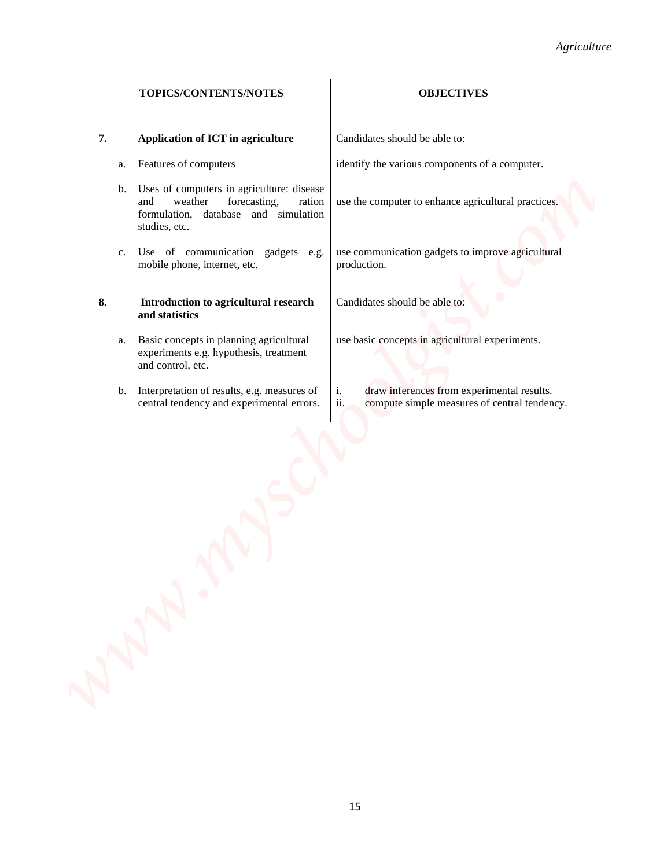| 7.<br>Application of ICT in agriculture<br>Candidates should be able to:<br>Features of computers<br>identify the various components of a computer.<br>a.                                                   |  |
|-------------------------------------------------------------------------------------------------------------------------------------------------------------------------------------------------------------|--|
|                                                                                                                                                                                                             |  |
|                                                                                                                                                                                                             |  |
| Uses of computers in agriculture: disease<br>b.<br>forecasting,<br>and<br>weather<br>ration<br>use the computer to enhance agricultural practices.<br>formulation, database and simulation<br>studies, etc. |  |
| Use of communication gadgets e.g.<br>use communication gadgets to improve agricultural<br>c.<br>mobile phone, internet, etc.<br>production.                                                                 |  |
| 8.<br>Introduction to agricultural research<br>Candidates should be able to:<br>and statistics                                                                                                              |  |
| use basic concepts in agricultural experiments.<br>Basic concepts in planning agricultural<br>a.<br>experiments e.g. hypothesis, treatment<br>and control, etc.                                             |  |
| b. Interpretation of results, e.g. measures of<br>i.<br>draw inferences from experimental results.<br>ii.<br>central tendency and experimental errors.<br>compute simple measures of central tendency.      |  |
|                                                                                                                                                                                                             |  |